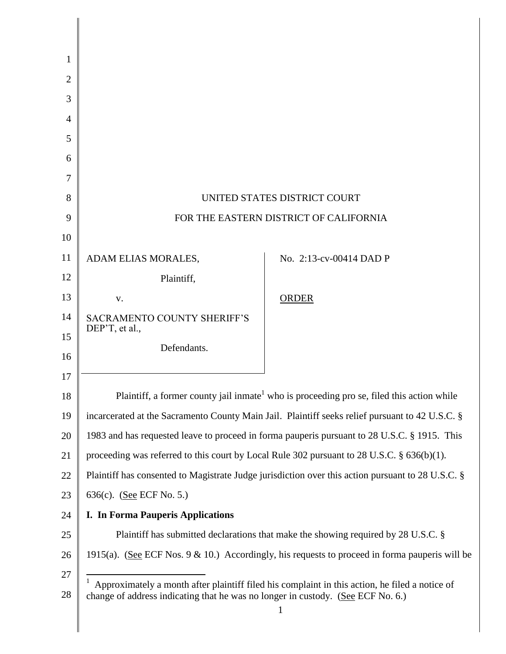| 1              |                                                                                                                                                                                   |                                                                                                    |
|----------------|-----------------------------------------------------------------------------------------------------------------------------------------------------------------------------------|----------------------------------------------------------------------------------------------------|
| $\overline{2}$ |                                                                                                                                                                                   |                                                                                                    |
| 3              |                                                                                                                                                                                   |                                                                                                    |
| 4              |                                                                                                                                                                                   |                                                                                                    |
| 5              |                                                                                                                                                                                   |                                                                                                    |
| 6              |                                                                                                                                                                                   |                                                                                                    |
| 7              |                                                                                                                                                                                   |                                                                                                    |
| 8              | UNITED STATES DISTRICT COURT                                                                                                                                                      |                                                                                                    |
| 9              | FOR THE EASTERN DISTRICT OF CALIFORNIA                                                                                                                                            |                                                                                                    |
| 10             |                                                                                                                                                                                   |                                                                                                    |
| 11             | ADAM ELIAS MORALES,                                                                                                                                                               | No. 2:13-cv-00414 DAD P                                                                            |
| 12             | Plaintiff,                                                                                                                                                                        |                                                                                                    |
| 13             | V.                                                                                                                                                                                | <b>ORDER</b>                                                                                       |
| 14             | <b>SACRAMENTO COUNTY SHERIFF'S</b><br>DEP'T, et al.,                                                                                                                              |                                                                                                    |
| 15             | Defendants.                                                                                                                                                                       |                                                                                                    |
| 16             |                                                                                                                                                                                   |                                                                                                    |
| 17             |                                                                                                                                                                                   |                                                                                                    |
| 18             | Plaintiff, a former county jail inmate <sup>1</sup> who is proceeding pro se, filed this action while                                                                             |                                                                                                    |
| 19             | incarcerated at the Sacramento County Main Jail. Plaintiff seeks relief pursuant to 42 U.S.C. §                                                                                   |                                                                                                    |
| 20             | 1983 and has requested leave to proceed in forma pauperis pursuant to 28 U.S.C. § 1915. This                                                                                      |                                                                                                    |
| 21             | proceeding was referred to this court by Local Rule 302 pursuant to 28 U.S.C. $\S$ 636(b)(1).                                                                                     |                                                                                                    |
| 22             | Plaintiff has consented to Magistrate Judge jurisdiction over this action pursuant to 28 U.S.C. §                                                                                 |                                                                                                    |
| 23             | 636(c). (See ECF No. 5.)                                                                                                                                                          |                                                                                                    |
| 24             | <b>I. In Forma Pauperis Applications</b>                                                                                                                                          |                                                                                                    |
| 25             |                                                                                                                                                                                   | Plaintiff has submitted declarations that make the showing required by 28 U.S.C. §                 |
| 26             |                                                                                                                                                                                   | 1915(a). (See ECF Nos. $9 \& 10$ .) Accordingly, his requests to proceed in forma pauperis will be |
| 27<br>28       | Approximately a month after plaintiff filed his complaint in this action, he filed a notice of<br>change of address indicating that he was no longer in custody. (See ECF No. 6.) |                                                                                                    |
|                |                                                                                                                                                                                   |                                                                                                    |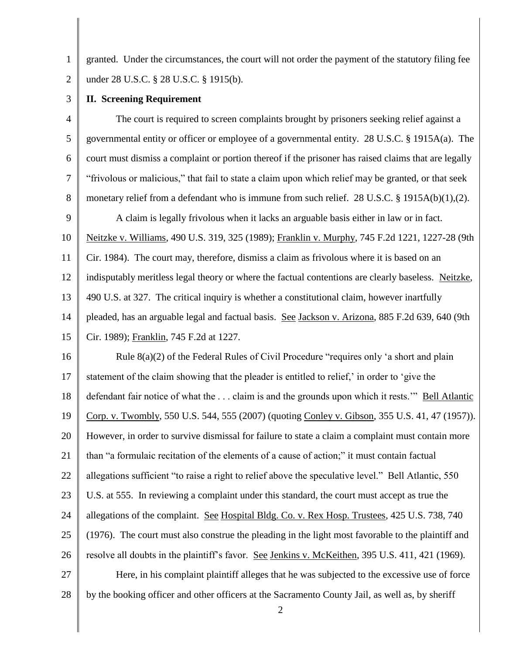1 2 granted. Under the circumstances, the court will not order the payment of the statutory filing fee under 28 U.S.C. § 28 U.S.C. § 1915(b).

3

## **II. Screening Requirement**

4 5 6 7 8 9 10 11 12 13 14 The court is required to screen complaints brought by prisoners seeking relief against a governmental entity or officer or employee of a governmental entity. 28 U.S.C. § 1915A(a). The court must dismiss a complaint or portion thereof if the prisoner has raised claims that are legally "frivolous or malicious," that fail to state a claim upon which relief may be granted, or that seek monetary relief from a defendant who is immune from such relief. 28 U.S.C. § 1915A(b)(1),(2). A claim is legally frivolous when it lacks an arguable basis either in law or in fact. Neitzke v. Williams, 490 U.S. 319, 325 (1989); Franklin v. Murphy, 745 F.2d 1221, 1227-28 (9th Cir. 1984). The court may, therefore, dismiss a claim as frivolous where it is based on an indisputably meritless legal theory or where the factual contentions are clearly baseless. Neitzke, 490 U.S. at 327. The critical inquiry is whether a constitutional claim, however inartfully pleaded, has an arguable legal and factual basis. See Jackson v. Arizona, 885 F.2d 639, 640 (9th

15 Cir. 1989); Franklin, 745 F.2d at 1227.

16 17 18 19 20 21 22 23 24 25 26 27 28 Rule 8(a)(2) of the Federal Rules of Civil Procedure "requires only 'a short and plain statement of the claim showing that the pleader is entitled to relief,' in order to 'give the defendant fair notice of what the . . . claim is and the grounds upon which it rests.'" Bell Atlantic Corp. v. Twombly, 550 U.S. 544, 555 (2007) (quoting Conley v. Gibson, 355 U.S. 41, 47 (1957)). However, in order to survive dismissal for failure to state a claim a complaint must contain more than "a formulaic recitation of the elements of a cause of action;" it must contain factual allegations sufficient "to raise a right to relief above the speculative level." Bell Atlantic, 550 U.S. at 555. In reviewing a complaint under this standard, the court must accept as true the allegations of the complaint. See Hospital Bldg. Co. v. Rex Hosp. Trustees, 425 U.S. 738, 740 (1976). The court must also construe the pleading in the light most favorable to the plaintiff and resolve all doubts in the plaintiff's favor. See Jenkins v. McKeithen, 395 U.S. 411, 421 (1969). Here, in his complaint plaintiff alleges that he was subjected to the excessive use of force

by the booking officer and other officers at the Sacramento County Jail, as well as, by sheriff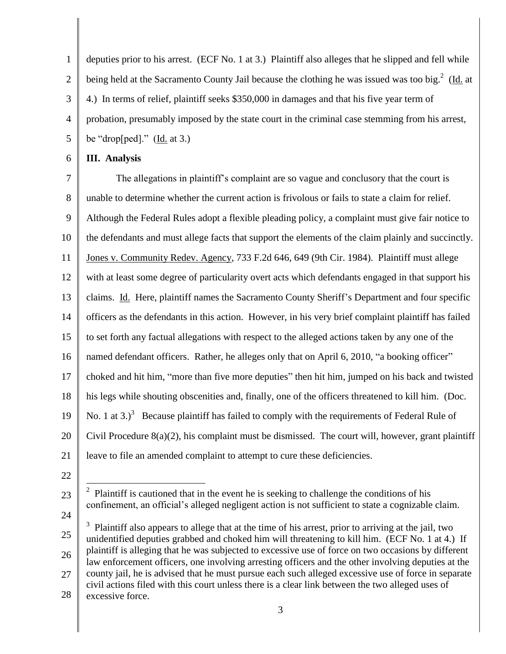1 2 3 4 5 deputies prior to his arrest. (ECF No. 1 at 3.) Plaintiff also alleges that he slipped and fell while being held at the Sacramento County Jail because the clothing he was issued was too big.<sup>2</sup> (Id. at 4.) In terms of relief, plaintiff seeks \$350,000 in damages and that his five year term of probation, presumably imposed by the state court in the criminal case stemming from his arrest, be "drop $[ped]$ ." (Id. at 3.)

## 6 **III. Analysis**

7 8 9 10 11 12 13 14 15 16 17 18 19 20 21 The allegations in plaintiff's complaint are so vague and conclusory that the court is unable to determine whether the current action is frivolous or fails to state a claim for relief. Although the Federal Rules adopt a flexible pleading policy, a complaint must give fair notice to the defendants and must allege facts that support the elements of the claim plainly and succinctly. Jones v. Community Redev. Agency, 733 F.2d 646, 649 (9th Cir. 1984). Plaintiff must allege with at least some degree of particularity overt acts which defendants engaged in that support his claims. Id. Here, plaintiff names the Sacramento County Sheriff's Department and four specific officers as the defendants in this action. However, in his very brief complaint plaintiff has failed to set forth any factual allegations with respect to the alleged actions taken by any one of the named defendant officers. Rather, he alleges only that on April 6, 2010, "a booking officer" choked and hit him, "more than five more deputies" then hit him, jumped on his back and twisted his legs while shouting obscenities and, finally, one of the officers threatened to kill him. (Doc. No. 1 at 3. $3^3$  Because plaintiff has failed to comply with the requirements of Federal Rule of Civil Procedure 8(a)(2), his complaint must be dismissed. The court will, however, grant plaintiff leave to file an amended complaint to attempt to cure these deficiencies.

22

<sup>23</sup> 24  $\overline{a}$ <sup>2</sup> Plaintiff is cautioned that in the event he is seeking to challenge the conditions of his confinement, an official's alleged negligent action is not sufficient to state a cognizable claim.

<sup>25</sup> 26 27 28  $3$  Plaintiff also appears to allege that at the time of his arrest, prior to arriving at the jail, two unidentified deputies grabbed and choked him will threatening to kill him. (ECF No. 1 at 4.) If plaintiff is alleging that he was subjected to excessive use of force on two occasions by different law enforcement officers, one involving arresting officers and the other involving deputies at the county jail, he is advised that he must pursue each such alleged excessive use of force in separate civil actions filed with this court unless there is a clear link between the two alleged uses of excessive force.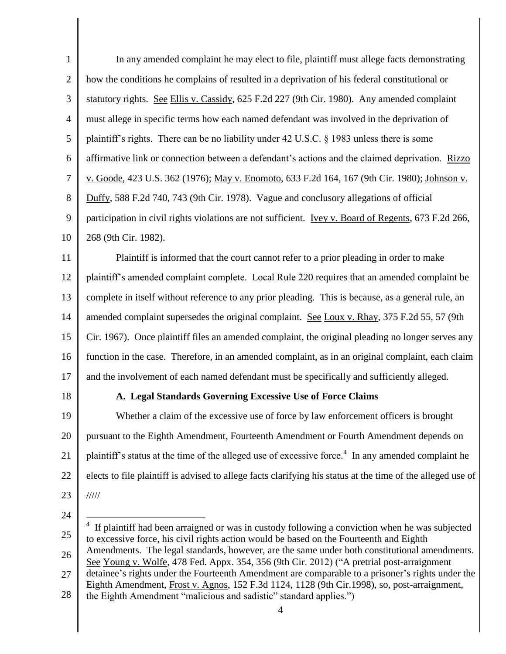| $\mathbf{1}$   | In any amended complaint he may elect to file, plaintiff must allege facts demonstrating                                                                                                  |
|----------------|-------------------------------------------------------------------------------------------------------------------------------------------------------------------------------------------|
| $\overline{2}$ | how the conditions he complains of resulted in a deprivation of his federal constitutional or                                                                                             |
| 3              | statutory rights. See Ellis v. Cassidy, 625 F.2d 227 (9th Cir. 1980). Any amended complaint                                                                                               |
| 4              | must allege in specific terms how each named defendant was involved in the deprivation of                                                                                                 |
| 5              | plaintiff's rights. There can be no liability under 42 U.S.C. § 1983 unless there is some                                                                                                 |
| 6              | affirmative link or connection between a defendant's actions and the claimed deprivation. Rizzo                                                                                           |
| $\tau$         | v. Goode, 423 U.S. 362 (1976); May v. Enomoto, 633 F.2d 164, 167 (9th Cir. 1980); Johnson v.                                                                                              |
| 8              | Duffy, 588 F.2d 740, 743 (9th Cir. 1978). Vague and conclusory allegations of official                                                                                                    |
| 9              | participation in civil rights violations are not sufficient. Ivey v. Board of Regents, 673 F.2d 266,                                                                                      |
| 10             | 268 (9th Cir. 1982).                                                                                                                                                                      |
| 11             | Plaintiff is informed that the court cannot refer to a prior pleading in order to make                                                                                                    |
| 12             | plaintiff's amended complaint complete. Local Rule 220 requires that an amended complaint be                                                                                              |
| 13             | complete in itself without reference to any prior pleading. This is because, as a general rule, an                                                                                        |
| 14             | amended complaint supersedes the original complaint. See Loux v. Rhay, 375 F.2d 55, 57 (9th                                                                                               |
| 15             | Cir. 1967). Once plaintiff files an amended complaint, the original pleading no longer serves any                                                                                         |
| 16             | function in the case. Therefore, in an amended complaint, as in an original complaint, each claim                                                                                         |
| 17             | and the involvement of each named defendant must be specifically and sufficiently alleged.                                                                                                |
| 18             | A. Legal Standards Governing Excessive Use of Force Claims                                                                                                                                |
| 19             | Whether a claim of the excessive use of force by law enforcement officers is brought                                                                                                      |
| 20             | pursuant to the Eighth Amendment, Fourteenth Amendment or Fourth Amendment depends on                                                                                                     |
| 21             | plaintiff's status at the time of the alleged use of excessive force. <sup>4</sup> In any amended complaint he                                                                            |
| 22             | elects to file plaintiff is advised to allege facts clarifying his status at the time of the alleged use of                                                                               |
| 23             | 11111                                                                                                                                                                                     |
| 24             | 4                                                                                                                                                                                         |
| 25             | If plaintiff had been arraigned or was in custody following a conviction when he was subjected<br>to excessive force, his civil rights action would be based on the Fourteenth and Eighth |
| 26             | Amendments. The legal standards, however, are the same under both constitutional amendments.<br>See Young v. Wolfe, 478 Fed. Appx. 354, 356 (9th Cir. 2012) ("A pretrial post-arraignment |
| 27             | detainee's rights under the Fourteenth Amendment are comparable to a prisoner's rights under the                                                                                          |

4 the Eighth Amendment "malicious and sadistic" standard applies.")

Eighth Amendment, Frost v. Agnos, 152 F.3d 1124, 1128 (9th Cir.1998), so, post-arraignment,

28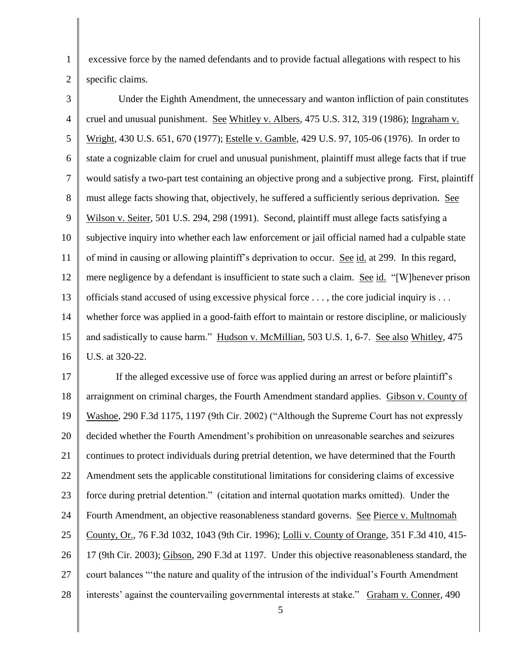excessive force by the named defendants and to provide factual allegations with respect to his specific claims.

1

2

3 4 5 6 7 8 9 10 11 12 13 14 15 16 Under the Eighth Amendment, the unnecessary and wanton infliction of pain constitutes cruel and unusual punishment. See Whitley v. Albers, 475 U.S. 312, 319 (1986); Ingraham v. Wright, 430 U.S. 651, 670 (1977); Estelle v. Gamble, 429 U.S. 97, 105-06 (1976). In order to state a cognizable claim for cruel and unusual punishment, plaintiff must allege facts that if true would satisfy a two-part test containing an objective prong and a subjective prong. First, plaintiff must allege facts showing that, objectively, he suffered a sufficiently serious deprivation. See Wilson v. Seiter, 501 U.S. 294, 298 (1991). Second, plaintiff must allege facts satisfying a subjective inquiry into whether each law enforcement or jail official named had a culpable state of mind in causing or allowing plaintiff's deprivation to occur. See id. at 299. In this regard, mere negligence by a defendant is insufficient to state such a claim. See id. "[W]henever prison officials stand accused of using excessive physical force  $\dots$ , the core judicial inquiry is  $\dots$ whether force was applied in a good-faith effort to maintain or restore discipline, or maliciously and sadistically to cause harm." Hudson v. McMillian, 503 U.S. 1, 6-7. See also Whitley, 475 U.S. at 320-22.

17 18 19 20 21 22 23 24 25 26 27 28 If the alleged excessive use of force was applied during an arrest or before plaintiff's arraignment on criminal charges, the Fourth Amendment standard applies. Gibson v. County of Washoe, 290 F.3d 1175, 1197 (9th Cir. 2002) ("Although the Supreme Court has not expressly decided whether the Fourth Amendment's prohibition on unreasonable searches and seizures continues to protect individuals during pretrial detention, we have determined that the Fourth Amendment sets the applicable constitutional limitations for considering claims of excessive force during pretrial detention." (citation and internal quotation marks omitted). Under the Fourth Amendment, an objective reasonableness standard governs. See Pierce v. Multnomah County, Or., 76 F.3d 1032, 1043 (9th Cir. 1996); Lolli v. County of Orange, 351 F.3d 410, 415- 17 (9th Cir. 2003); Gibson, 290 F.3d at 1197. Under this objective reasonableness standard, the court balances "'the nature and quality of the intrusion of the individual's Fourth Amendment interests' against the countervailing governmental interests at stake." Graham v. Conner, 490

5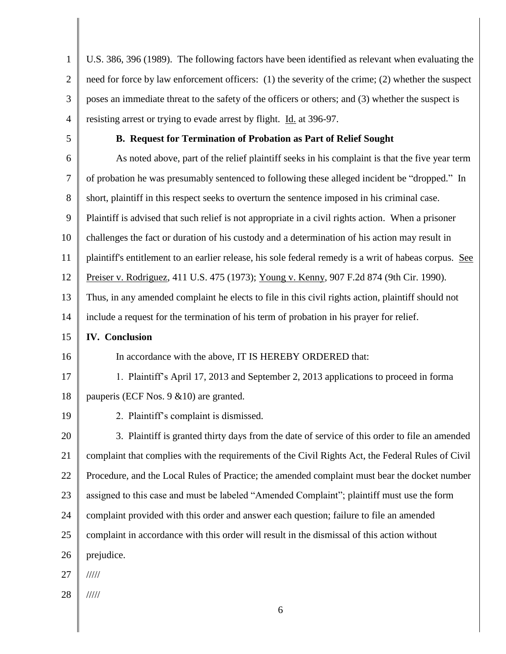| $\mathbf{1}$   | U.S. 386, 396 (1989). The following factors have been identified as relevant when evaluating the       |
|----------------|--------------------------------------------------------------------------------------------------------|
| $\mathbf{2}$   | need for force by law enforcement officers: (1) the severity of the crime; (2) whether the suspect     |
| 3              | poses an immediate threat to the safety of the officers or others; and (3) whether the suspect is      |
| $\overline{4}$ | resisting arrest or trying to evade arrest by flight. Id. at 396-97.                                   |
| 5              | B. Request for Termination of Probation as Part of Relief Sought                                       |
| 6              | As noted above, part of the relief plaintiff seeks in his complaint is that the five year term         |
| $\overline{7}$ | of probation he was presumably sentenced to following these alleged incident be "dropped." In          |
| 8              | short, plaintiff in this respect seeks to overturn the sentence imposed in his criminal case.          |
| 9              | Plaintiff is advised that such relief is not appropriate in a civil rights action. When a prisoner     |
| 10             | challenges the fact or duration of his custody and a determination of his action may result in         |
| 11             | plaintiff's entitlement to an earlier release, his sole federal remedy is a writ of habeas corpus. See |
| 12             | Preiser v. Rodriguez, 411 U.S. 475 (1973); Young v. Kenny, 907 F.2d 874 (9th Cir. 1990).               |
| 13             | Thus, in any amended complaint he elects to file in this civil rights action, plaintiff should not     |
| 14             | include a request for the termination of his term of probation in his prayer for relief.               |
| 15             | <b>IV.</b> Conclusion                                                                                  |
| 16             | In accordance with the above, IT IS HEREBY ORDERED that:                                               |
| 17             | 1. Plaintiff's April 17, 2013 and September 2, 2013 applications to proceed in forma                   |
| 18             |                                                                                                        |
|                | pauperis (ECF Nos. 9 & 10) are granted.                                                                |
| 19             | 2. Plaintiff's complaint is dismissed.                                                                 |
| 20             | 3. Plaintiff is granted thirty days from the date of service of this order to file an amended          |
| 21             | complaint that complies with the requirements of the Civil Rights Act, the Federal Rules of Civil      |
| 22             | Procedure, and the Local Rules of Practice; the amended complaint must bear the docket number          |
| 23             | assigned to this case and must be labeled "Amended Complaint"; plaintiff must use the form             |
| 24             | complaint provided with this order and answer each question; failure to file an amended                |
| 25             | complaint in accordance with this order will result in the dismissal of this action without            |
| 26             | prejudice.                                                                                             |
| 27             | 11111                                                                                                  |